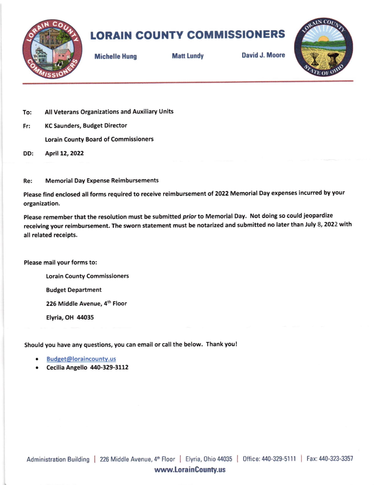

## LORAIN COUNTY COMMISSIONERS

Michelle Hung Matt Lundy David J. Moore



- To: All Veterans Organizations and Auxiliary Units
- Fr: KC Saunders, Budget Director Lorain County Board of Commissioners
- DD: April 12,2O22
- Re: Memorial Day Expense Reimbursements

Please find enclosed all forms required to receive reimbursement of 2022 Memorial Day expenses incurred by your organization,

Please remember that the resolution must be submitted prior to Memorial Day. Not doing so could jeopardize receiving your reimbursement. The sworn statement must be notarized and submitted no later than July 8, 2022 with all related recelpts.

Please mail your forms to:

Lorain County Commissioners

Budget Department

226 Middle Avenue, 4th Floor

Elyria, OH 44035

should you have any questions, you can email or call the below. Thank you !

- . Budget@loraincountv.us
- $\bullet$  Cecilia Angello 440-329-3112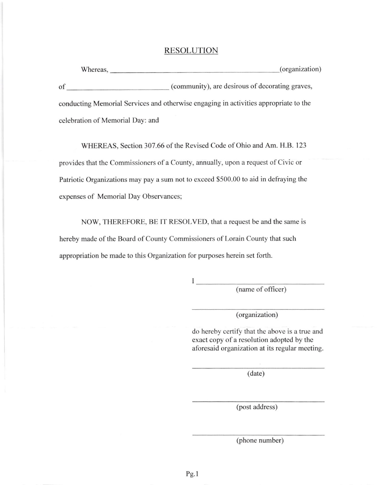## RESOLUTION

Whereas, (organization) of (community), are desirous of decorating graves, conducting Memorial Services and otherwise engaging in activities appropriate to the celebration of Memorial Day: and

WHEREAS, Section 307.66 of the Revised Code of Ohio and Am. H.B. 123 provides that the Commissioners of a County, annually, upon a request of Civic or Patriotic Organizations may pay a sum not to exceed \$500.00 to aid in defraying the expenses of Memorial Day Observances;

NOW, THEREFORE, BE lT RESOLVED, that a request be and the same is hereby made of the Board of County Commissioners of Lorain County that such appropriation be made to this Organization for purposes herein set forth.

 $\mathbf{I}$  and  $\mathbf{I}$  and  $\mathbf{I}$ 

(name of officer)

(organization)

do hereby certify that the above is a true and exact copy of a resolution adopted by the aforesaid organization at its regular meeting.

(date)

(post address)

(phone number)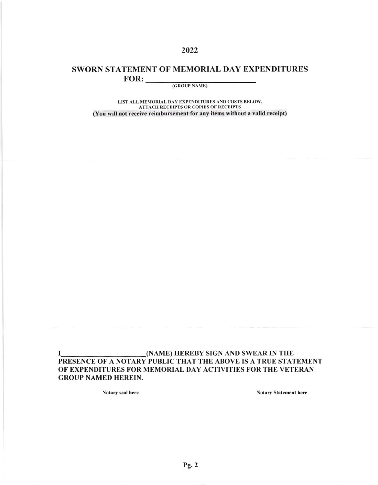## SWORN STATEMENT OF MEMORIAL DAY EXPENDITURES  $FOR:$

2022

(GROUP NAME)

LIST ALL MEMORIAL DAY EXPENDITURES AND COSTS BELOW. **ATTACH RECEIPTS OR COPIES OF RECEIPTS** (You will not receive reimbursement for any items without a valid receipt)

(NAME) HEREBY SIGN AND SWEAR IN THE 1 PRESENCE OF A NOTARY PUBLIC THAT THE ABOVE IS A TRUE STATEMENT OF EXPENDITURES FOR MEMORIAL DAY ACTIVITIES FOR THE VETERAN **GROUP NAMED HEREIN.** 

Notary seal here

**Notary Statement here**